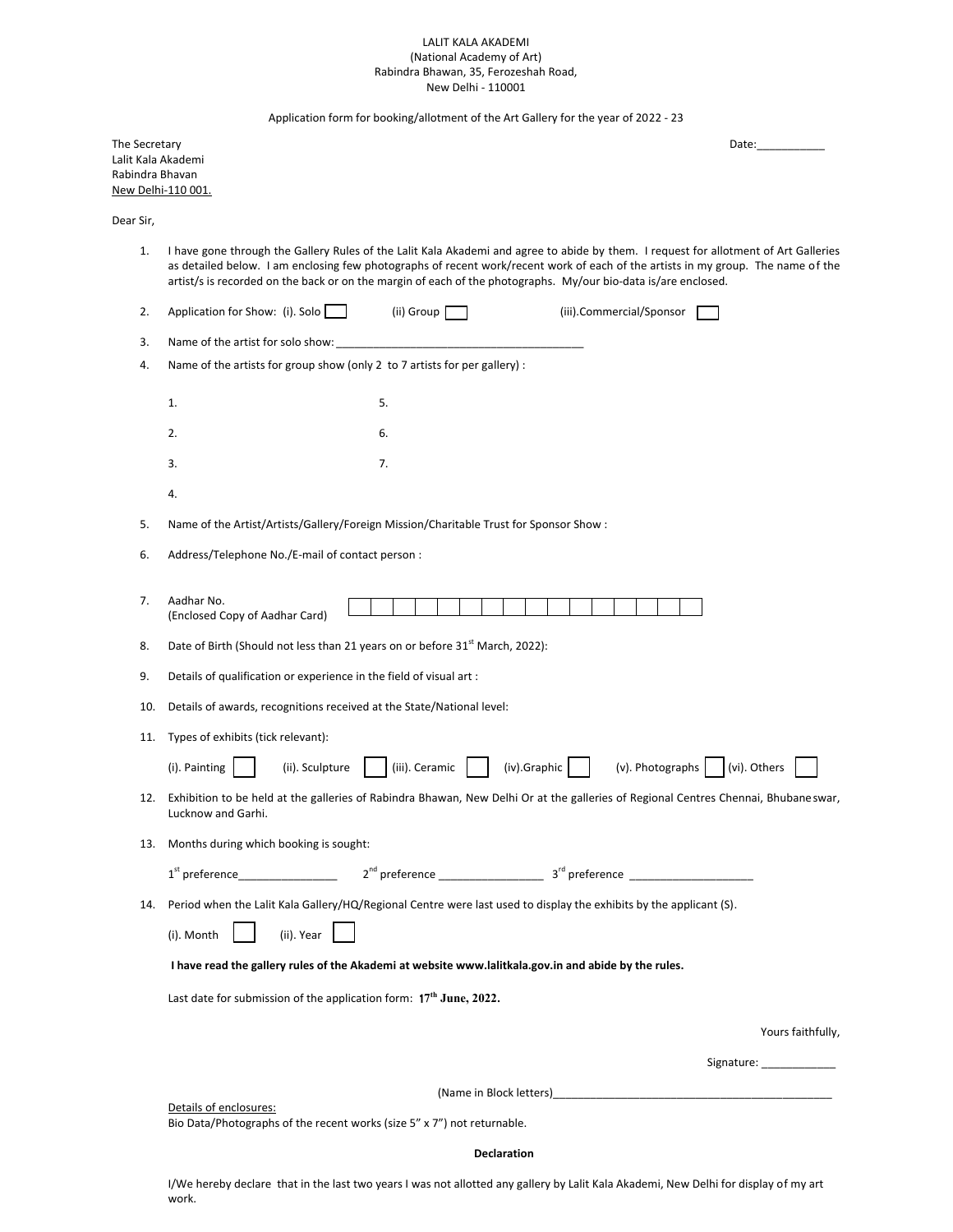## LALIT KALA AKADEMI (National Academy of Art) Rabindra Bhawan, 35, Ferozeshah Road, New Delhi - 110001

Application form for booking/allotment of the Art Gallery for the year of 2022 - 23

| The Secretary      | Date: |
|--------------------|-------|
| Lalit Kala Akademi |       |
| Rabindra Bhavan    |       |
| New Delhi-110 001. |       |

Dear Sir,

1. I have gone through the Gallery Rules of the Lalit Kala Akademi and agree to abide by them. I request for allotment of Art Galleries as detailed below. I am enclosing few photographs of recent work/recent work of each of the artists in my group. The name of the artist/s is recorded on the back or on the margin of each of the photographs. My/our bio-data is/are enclosed.

| 2.  | Application for Show: (i). Solo<br>(ii) Group<br>(iii).Commercial/Sponsor                                                                                |  |  |  |
|-----|----------------------------------------------------------------------------------------------------------------------------------------------------------|--|--|--|
| 3.  | Name of the artist for solo show:                                                                                                                        |  |  |  |
| 4.  | Name of the artists for group show (only 2 to 7 artists for per gallery) :                                                                               |  |  |  |
|     | 5.<br>1.                                                                                                                                                 |  |  |  |
|     | 2.<br>6.                                                                                                                                                 |  |  |  |
|     | 7.<br>3.                                                                                                                                                 |  |  |  |
|     |                                                                                                                                                          |  |  |  |
|     | 4.                                                                                                                                                       |  |  |  |
| 5.  | Name of the Artist/Artists/Gallery/Foreign Mission/Charitable Trust for Sponsor Show :                                                                   |  |  |  |
| 6.  | Address/Telephone No./E-mail of contact person :                                                                                                         |  |  |  |
|     |                                                                                                                                                          |  |  |  |
| 7.  | Aadhar No.<br>(Enclosed Copy of Aadhar Card)                                                                                                             |  |  |  |
| 8.  | Date of Birth (Should not less than 21 years on or before 31 <sup>st</sup> March, 2022):                                                                 |  |  |  |
| 9.  | Details of qualification or experience in the field of visual art :                                                                                      |  |  |  |
| 10. | Details of awards, recognitions received at the State/National level:                                                                                    |  |  |  |
| 11. | Types of exhibits (tick relevant):                                                                                                                       |  |  |  |
|     | $(iv).$ Graphic $\vert$ $\vert$ (v). Photographs $\vert$<br>(iii). Ceramic<br>(vi). Others<br>(i). Painting<br>(ii). Sculpture                           |  |  |  |
| 12. | Exhibition to be held at the galleries of Rabindra Bhawan, New Delhi Or at the galleries of Regional Centres Chennai, Bhubaneswar,<br>Lucknow and Garhi. |  |  |  |
| 13. | Months during which booking is sought:                                                                                                                   |  |  |  |
|     |                                                                                                                                                          |  |  |  |
|     | 14. Period when the Lalit Kala Gallery/HQ/Regional Centre were last used to display the exhibits by the applicant (S).                                   |  |  |  |
|     | (ii). Year<br>(i). Month                                                                                                                                 |  |  |  |
|     | I have read the gallery rules of the Akademi at website www.lalitkala.gov.in and abide by the rules.                                                     |  |  |  |
|     | Last date for submission of the application form: 17 <sup>th</sup> June, 2022.                                                                           |  |  |  |
|     | Yours faithfully,                                                                                                                                        |  |  |  |
|     |                                                                                                                                                          |  |  |  |
|     |                                                                                                                                                          |  |  |  |
|     | Details of enclosures:                                                                                                                                   |  |  |  |
|     | Bio Data/Photographs of the recent works (size 5" x 7") not returnable.                                                                                  |  |  |  |

## **Declaration**

I/We hereby declare that in the last two years I was not allotted any gallery by Lalit Kala Akademi, New Delhi for display of my art work.